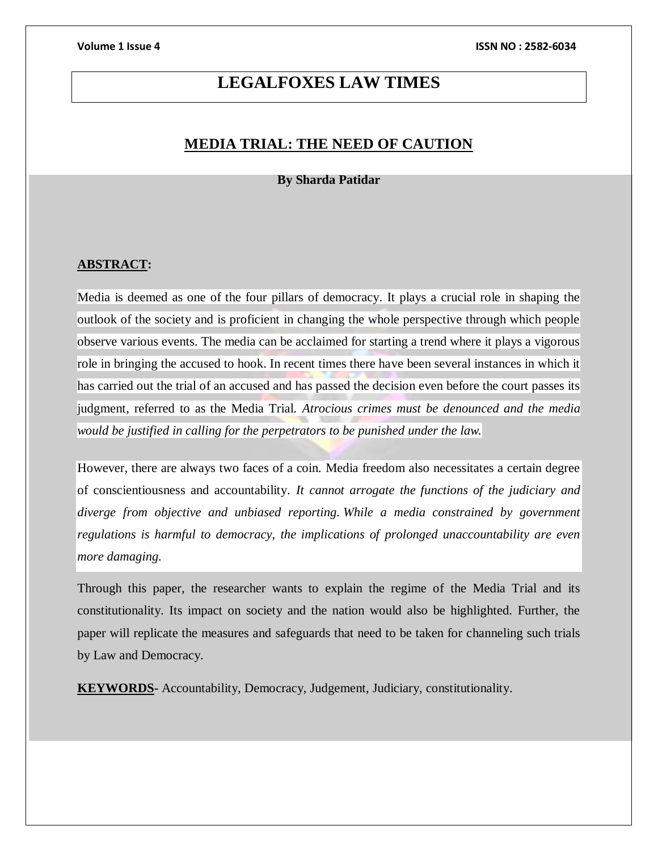# **LEGALFOXES LAW TIMES**

# **MEDIA TRIAL: THE NEED OF CAUTION**

### **By Sharda Patidar**

### **ABSTRACT:**

Media is deemed as one of the four pillars of democracy. It plays a crucial role in shaping the outlook of the society and is proficient in changing the whole perspective through which people observe various events. The media can be acclaimed for starting a trend where it plays a vigorous role in bringing the accused to hook. In recent times there have been several instances in which it has carried out the trial of an accused and has passed the decision even before the court passes its judgment, referred to as the Media Trial. *Atrocious crimes must be denounced and the media would be justified in calling for the perpetrators to be punished under the law.*

However, there are always two faces of a coin. Media freedom also necessitates a certain degree of conscientiousness and accountability. *It cannot arrogate the functions of the judiciary and diverge from objective and unbiased reporting. While a media constrained by government regulations is harmful to democracy, the implications of prolonged unaccountability are even more damaging.* 

Through this paper, the researcher wants to explain the regime of the Media Trial and its constitutionality. Its impact on society and the nation would also be highlighted. Further, the paper will replicate the measures and safeguards that need to be taken for channeling such trials by Law and Democracy.

**KEYWORDS-** Accountability, Democracy, Judgement, Judiciary, constitutionality.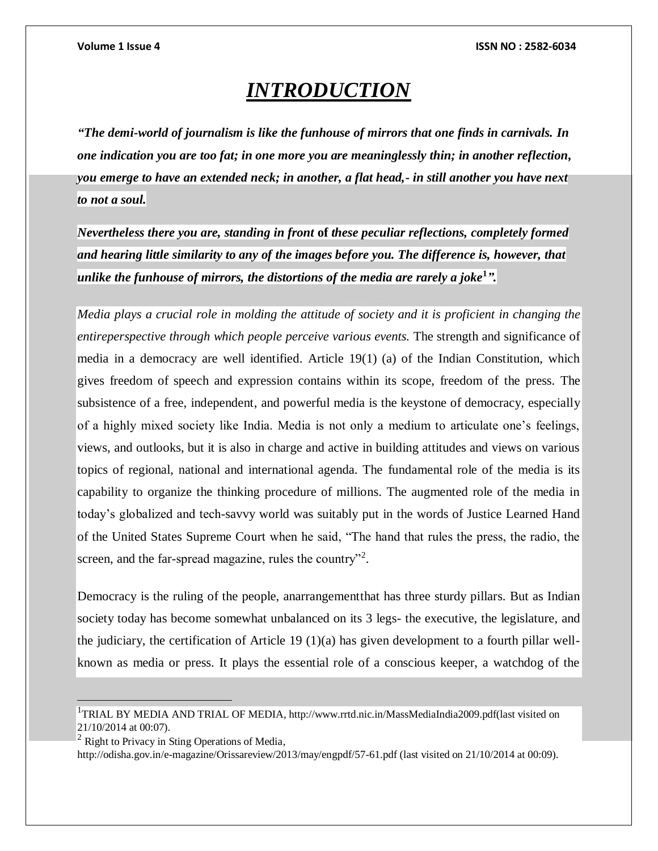# *INTRODUCTION*

*"The demi-world of journalism is like the funhouse of mirrors that one finds in carnivals. In one indication you are too fat; in one more you are meaninglessly thin; in another reflection, you emerge to have an extended neck; in another, a flat head,- in still another you have next to not a soul.* 

*Nevertheless there you are, standing in front* **of** *these peculiar reflections, completely formed and hearing little similarity to any of the images before you. The difference is, however, that unlike the funhouse of mirrors, the distortions of the media are rarely a joke***<sup>1</sup>** *".*

*Media plays a crucial role in molding the attitude of society and it is proficient in changing the entireperspective through which people perceive various events.* The strength and significance of media in a democracy are well identified. Article 19(1) (a) of the Indian Constitution, which gives freedom of speech and expression contains within its scope, freedom of the press. The subsistence of a free, independent, and powerful media is the keystone of democracy, especially of a highly mixed society like India. Media is not only a medium to articulate one's feelings, views, and outlooks, but it is also in charge and active in building attitudes and views on various topics of regional, national and international agenda. The fundamental role of the media is its capability to organize the thinking procedure of millions. The augmented role of the media in today's globalized and tech-savvy world was suitably put in the words of Justice Learned Hand of the United States Supreme Court when he said, "The hand that rules the press, the radio, the screen, and the far-spread magazine, rules the country"<sup>2</sup>.

Democracy is the ruling of the people, anarrangementthat has three sturdy pillars. But as Indian society today has become somewhat unbalanced on its 3 legs- the executive, the legislature, and the judiciary, the certification of Article 19 (1)(a) has given development to a fourth pillar wellknown as media or press. It plays the essential role of a conscious keeper, a watchdog of the

 $<sup>2</sup>$  Right to Privacy in Sting Operations of Media,</sup>

 $\overline{a}$ 

http://odisha.gov.in/e-magazine/Orissareview/2013/may/engpdf/57-61.pdf (last visited on 21/10/2014 at 00:09).

<sup>&</sup>lt;sup>1</sup>TRIAL BY MEDIA AND TRIAL OF MEDIA, http://www.rrtd.nic.in/MassMediaIndia2009.pdf(last visited on 21/10/2014 at 00:07).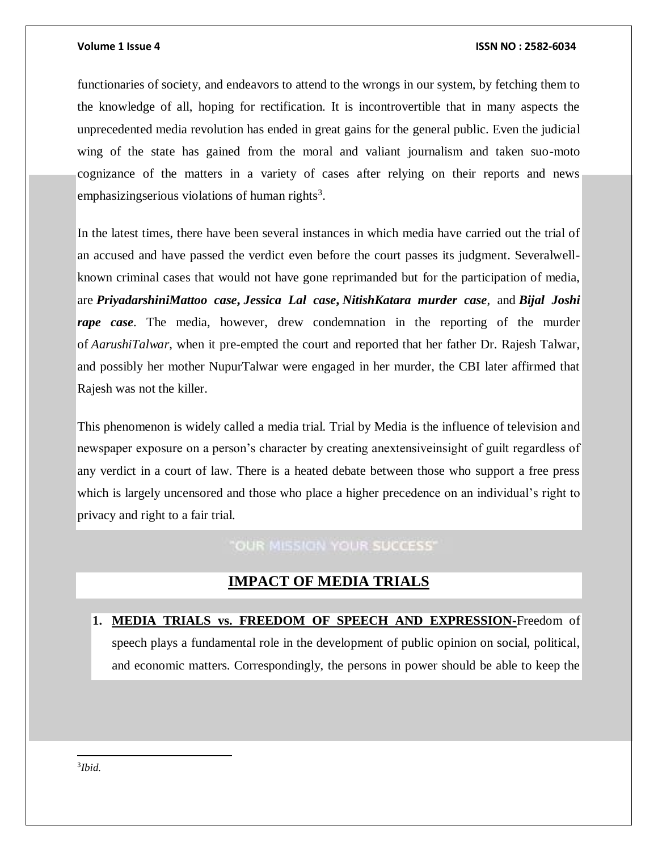### **Volume 1 Issue 4 ISSN NO : 2582-6034**

functionaries of society, and endeavors to attend to the wrongs in our system, by fetching them to the knowledge of all, hoping for rectification. It is incontrovertible that in many aspects the unprecedented media revolution has ended in great gains for the general public. Even the judicial wing of the state has gained from the moral and valiant journalism and taken suo-moto cognizance of the matters in a variety of cases after relying on their reports and news emphasizingserious violations of human rights<sup>3</sup>.

In the latest times, there have been several instances in which media have carried out the trial of an accused and have passed the verdict even before the court passes its judgment. Severalwellknown criminal cases that would not have gone reprimanded but for the participation of media, are *PriyadarshiniMattoo case***,** *Jessica Lal case***,** *NitishKatara murder case*, and *Bijal Joshi rape case*. The media, however, drew condemnation in the reporting of the murder of *AarushiTalwar*, when it pre-empted the court and reported that her father Dr. Rajesh Talwar, and possibly her mother NupurTalwar were engaged in her murder, the CBI later affirmed that Rajesh was not the killer.

This phenomenon is widely called a media trial. Trial by Media is the influence of television and newspaper exposure on a person's character by creating anextensiveinsight of guilt regardless of any verdict in a court of law. There is a heated debate between those who support a free press which is largely uncensored and those who place a higher precedence on an individual's right to privacy and right to a fair trial.

# "OUR MISSION YOUR SUCCESS"

## **IMPACT OF MEDIA TRIALS**

**1. MEDIA TRIALS vs. FREEDOM OF SPEECH AND EXPRESSION-**Freedom of speech plays a fundamental role in the development of public opinion on social, political, and economic matters. Correspondingly, the persons in power should be able to keep the

3 *Ibid.*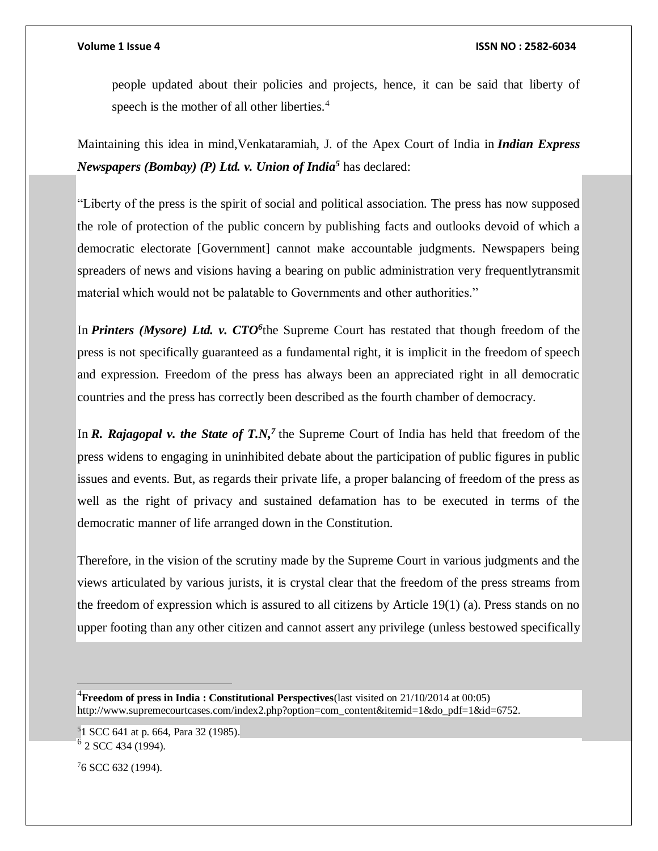people updated about their policies and projects, hence, it can be said that liberty of speech is the mother of all other liberties.<sup>4</sup>

Maintaining this idea in mind,Venkataramiah, J. of the Apex Court of India in *Indian Express Newspapers (Bombay) (P) Ltd. v. Union of India<sup>5</sup>* has declared:

"Liberty of the press is the spirit of social and political association. The press has now supposed the role of protection of the public concern by publishing facts and outlooks devoid of which a democratic electorate [Government] cannot make accountable judgments. Newspapers being spreaders of news and visions having a bearing on public administration very frequentlytransmit material which would not be palatable to Governments and other authorities."

In *Printers (Mysore) Ltd. v. CTO*<sup>6</sup>the Supreme Court has restated that though freedom of the press is not specifically guaranteed as a fundamental right, it is implicit in the freedom of speech and expression. Freedom of the press has always been an appreciated right in all democratic countries and the press has correctly been described as the fourth chamber of democracy.

In *R. Rajagopal v. the State of T.N*,<sup>7</sup> the Supreme Court of India has held that freedom of the press widens to engaging in uninhibited debate about the participation of public figures in public issues and events. But, as regards their private life, a proper balancing of freedom of the press as well as the right of privacy and sustained defamation has to be executed in terms of the democratic manner of life arranged down in the Constitution.

Therefore, in the vision of the scrutiny made by the Supreme Court in various judgments and the views articulated by various jurists, it is crystal clear that the freedom of the press streams from the freedom of expression which is assured to all citizens by Article 19(1) (a). Press stands on no upper footing than any other citizen and cannot assert any privilege (unless bestowed specifically

<sup>4</sup>**Freedom of press in India : Constitutional Perspectives**(last visited on 21/10/2014 at 00:05) http://www.supremecourtcases.com/index2.php?option=com\_content&itemid=1&do\_pdf=1&id=6752.

<sup>5</sup>1 SCC 641 at p. 664, Para 32 (1985). <sup>6</sup> 2 SCC 434 (1994).

76 SCC 632 (1994).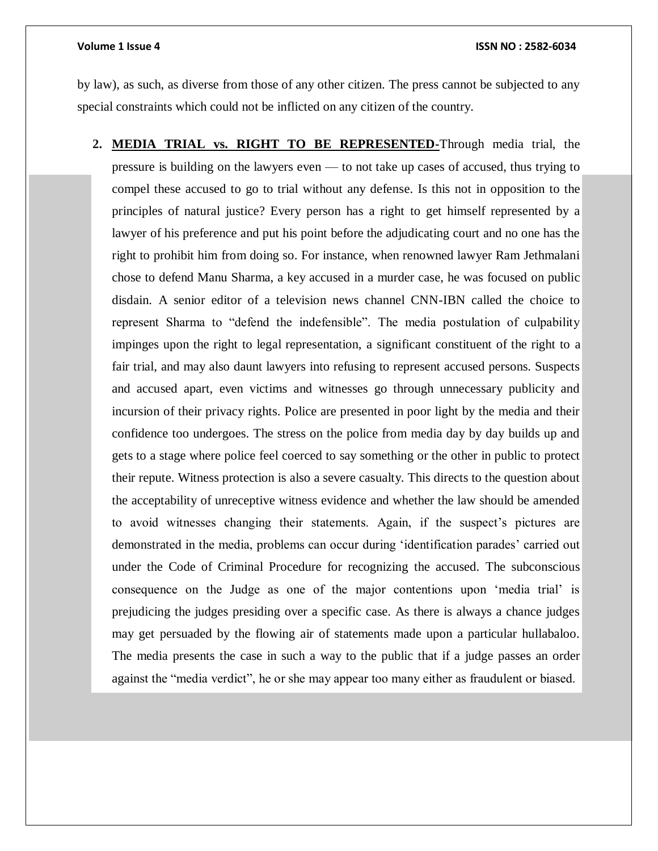by law), as such, as diverse from those of any other citizen. The press cannot be subjected to any special constraints which could not be inflicted on any citizen of the country.

**2. MEDIA TRIAL vs. RIGHT TO BE REPRESENTED-**Through media trial, the pressure is building on the lawyers even — to not take up cases of accused, thus trying to compel these accused to go to trial without any defense. Is this not in opposition to the principles of natural justice? Every person has a right to get himself represented by a lawyer of his preference and put his point before the adjudicating court and no one has the right to prohibit him from doing so. For instance, when renowned lawyer Ram Jethmalani chose to defend Manu Sharma, a key accused in a murder case, he was focused on public disdain. A senior editor of a television news channel CNN-IBN called the choice to represent Sharma to "defend the indefensible". The media postulation of culpability impinges upon the right to legal representation, a significant constituent of the right to a fair trial, and may also daunt lawyers into refusing to represent accused persons. Suspects and accused apart, even victims and witnesses go through unnecessary publicity and incursion of their privacy rights. Police are presented in poor light by the media and their confidence too undergoes. The stress on the police from media day by day builds up and gets to a stage where police feel coerced to say something or the other in public to protect their repute. Witness protection is also a severe casualty. This directs to the question about the acceptability of unreceptive witness evidence and whether the law should be amended to avoid witnesses changing their statements. Again, if the suspect's pictures are demonstrated in the media, problems can occur during 'identification parades' carried out under the Code of Criminal Procedure for recognizing the accused. The subconscious consequence on the Judge as one of the major contentions upon 'media trial' is prejudicing the judges presiding over a specific case. As there is always a chance judges may get persuaded by the flowing air of statements made upon a particular hullabaloo. The media presents the case in such a way to the public that if a judge passes an order against the "media verdict", he or she may appear too many either as fraudulent or biased.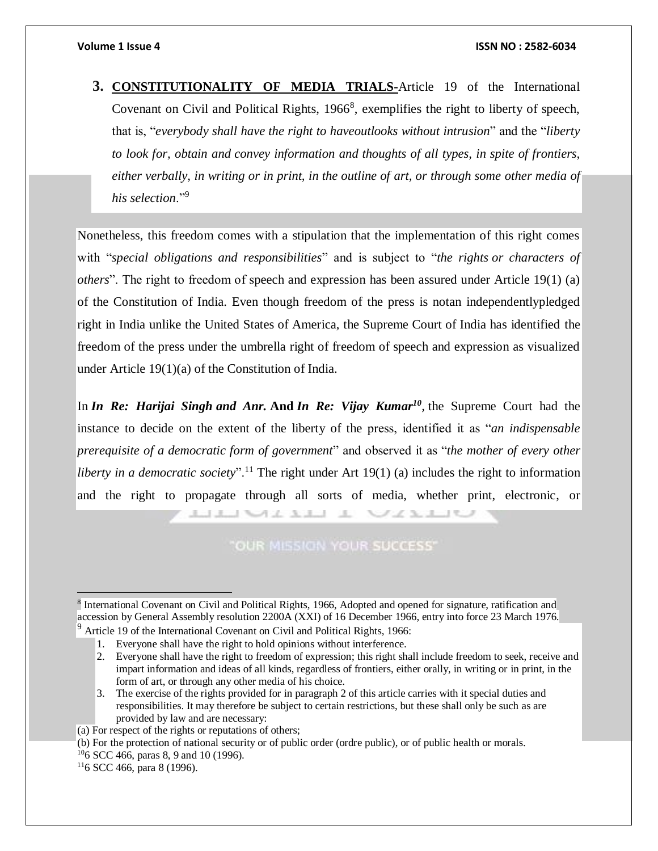**3. CONSTITUTIONALITY OF MEDIA TRIALS-**Article 19 of the International Covenant on Civil and Political Rights, 1966<sup>8</sup>, exemplifies the right to liberty of speech, that is, "*everybody shall have the right to haveoutlooks without intrusion*" and the "*liberty to look for, obtain and convey information and thoughts of all types, in spite of frontiers, either verbally, in writing or in print, in the outline of art, or through some other media of his selection*."<sup>9</sup>

Nonetheless, this freedom comes with a stipulation that the implementation of this right comes with "*special obligations and responsibilities*" and is subject to "*the rights or characters of others*". The right to freedom of speech and expression has been assured under Article 19(1) (a) of the Constitution of India. Even though freedom of the press is notan independentlypledged right in India unlike the United States of America, the Supreme Court of India has identified the freedom of the press under the umbrella right of freedom of speech and expression as visualized under Article 19(1)(a) of the Constitution of India.

In *In Re: Harijai Singh and Anr.* **And** *In Re: Vijay Kumar<sup>10</sup> ,* the Supreme Court had the instance to decide on the extent of the liberty of the press, identified it as "*an indispensable prerequisite of a democratic form of government*" and observed it as "*the mother of every other liberty in a democratic society*".<sup>11</sup> The right under Art 19(1) (a) includes the right to information and the right to propagate through all sorts of media, whether print, electronic, or

"OUR MISSION YOUR SUCCESS"

I ME ALLE A ME ALLE

<sup>8</sup> International Covenant on Civil and Political Rights, 1966, Adopted and opened for signature, ratification and accession by General Assembly resolution 2200A (XXI) of 16 December 1966, entry into force 23 March 1976.  $9$  Article 19 of the International Covenant on Civil and Political Rights, 1966:

<sup>1.</sup> Everyone shall have the right to hold opinions without interference.

<sup>2.</sup> Everyone shall have the right to freedom of expression; this right shall include freedom to seek, receive and impart information and ideas of all kinds, regardless of frontiers, either orally, in writing or in print, in the form of art, or through any other media of his choice.

<sup>3.</sup> The exercise of the rights provided for in paragraph 2 of this article carries with it special duties and responsibilities. It may therefore be subject to certain restrictions, but these shall only be such as are provided by law and are necessary:

<sup>(</sup>a) For respect of the rights or reputations of others;

<sup>(</sup>b) For the protection of national security or of public order (ordre public), or of public health or morals.

<sup>10</sup>6 SCC 466, paras 8, 9 and 10 (1996).

 $116$  SCC 466, para 8 (1996).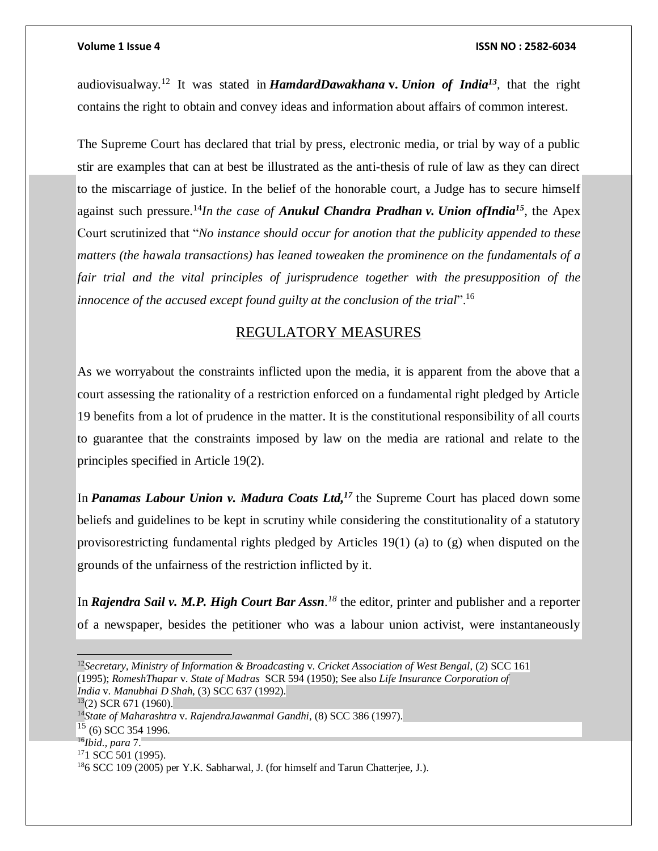audiovisualway.<sup>12</sup> It was stated in *HamdardDawakhana* **v.** *Union of India<sup>13</sup>*, that the right contains the right to obtain and convey ideas and information about affairs of common interest.

The Supreme Court has declared that trial by press, electronic media, or trial by way of a public stir are examples that can at best be illustrated as the anti-thesis of rule of law as they can direct to the miscarriage of justice. In the belief of the honorable court, a Judge has to secure himself against such pressure.<sup>14</sup>*In the case of Anukul Chandra Pradhan v. Union ofIndia*<sup>15</sup>, the Apex Court scrutinized that "*No instance should occur for anotion that the publicity appended to these matters (the hawala transactions) has leaned toweaken the prominence on the fundamentals of a fair trial and the vital principles of jurisprudence together with the presupposition of the innocence of the accused except found guilty at the conclusion of the trial*".<sup>16</sup>

## REGULATORY MEASURES

As we worryabout the constraints inflicted upon the media, it is apparent from the above that a court assessing the rationality of a restriction enforced on a fundamental right pledged by Article 19 benefits from a lot of prudence in the matter. It is the constitutional responsibility of all courts to guarantee that the constraints imposed by law on the media are rational and relate to the principles specified in Article 19(2).

In *Panamas Labour Union v. Madura Coats Ltd*,<sup>17</sup> the Supreme Court has placed down some beliefs and guidelines to be kept in scrutiny while considering the constitutionality of a statutory provisorestricting fundamental rights pledged by Articles 19(1) (a) to (g) when disputed on the grounds of the unfairness of the restriction inflicted by it.

In *Rajendra Sail v. M.P. High Court Bar Assn. <sup>18</sup>* the editor, printer and publisher and a reporter of a newspaper, besides the petitioner who was a labour union activist, were instantaneously

 $\overline{a}$ <sup>12</sup>*Secretary, Ministry of Information & Broadcasting* v. *Cricket Association of West Bengal*, (2) SCC 161 (1995); *RomeshThapar* v. *State of Madras* SCR 594 (1950); See also *Life Insurance Corporation of India* v. *Manubhai D Shah*, (3) SCC 637 (1992).  $13(2)$  SCR 671 (1960). <sup>14</sup>*State of Maharashtra* v. *RajendraJawanmal Gandhi*, (8) SCC 386 (1997).  $15$  (6) SCC 354 1996. <sup>16</sup>*Ibid., para* 7. <sup>17</sup>1 SCC 501 (1995). 186 SCC 109 (2005) per Y.K. Sabharwal, J. (for himself and Tarun Chatterjee, J.).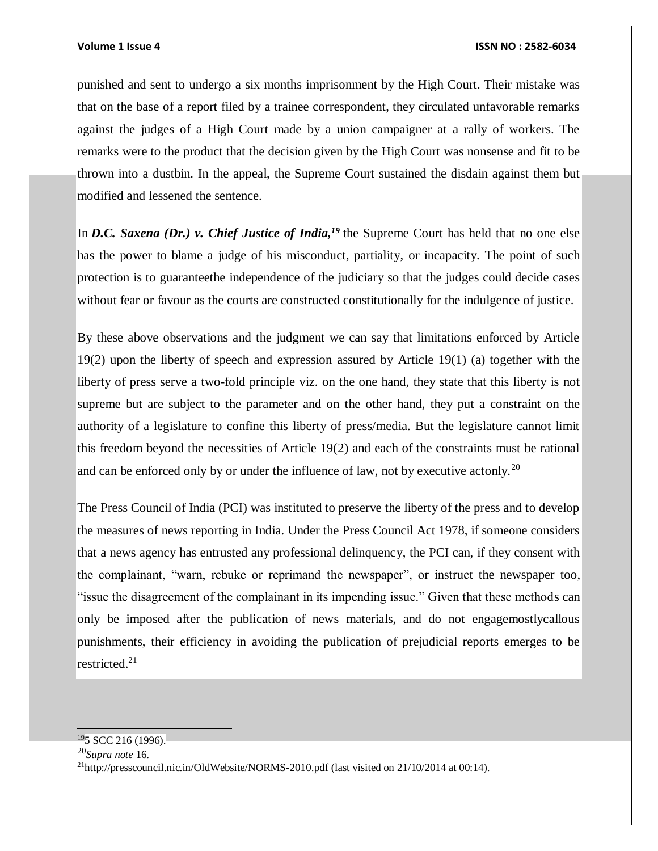### **Volume 1 Issue 4 ISSN NO : 2582-6034**

punished and sent to undergo a six months imprisonment by the High Court. Their mistake was that on the base of a report filed by a trainee correspondent, they circulated unfavorable remarks against the judges of a High Court made by a union campaigner at a rally of workers. The remarks were to the product that the decision given by the High Court was nonsense and fit to be thrown into a dustbin. In the appeal, the Supreme Court sustained the disdain against them but modified and lessened the sentence.

In *D.C. Saxena (Dr.)* v. *Chief Justice of India*,<sup>19</sup> the Supreme Court has held that no one else has the power to blame a judge of his misconduct, partiality, or incapacity. The point of such protection is to guaranteethe independence of the judiciary so that the judges could decide cases without fear or favour as the courts are constructed constitutionally for the indulgence of justice.

By these above observations and the judgment we can say that limitations enforced by Article 19(2) upon the liberty of speech and expression assured by Article 19(1) (a) together with the liberty of press serve a two-fold principle viz. on the one hand, they state that this liberty is not supreme but are subject to the parameter and on the other hand, they put a constraint on the authority of a legislature to confine this liberty of press/media. But the legislature cannot limit this freedom beyond the necessities of Article 19(2) and each of the constraints must be rational and can be enforced only by or under the influence of law, not by executive actonly.<sup>20</sup>

The Press Council of India (PCI) was instituted to preserve the liberty of the press and to develop the measures of news reporting in India. Under the Press Council Act 1978, if someone considers that a news agency has entrusted any professional delinquency, the PCI can, if they consent with the complainant, "warn, rebuke or reprimand the newspaper", or instruct the newspaper too, "issue the disagreement of the complainant in its impending issue." Given that these methods can only be imposed after the publication of news materials, and do not engagemostlycallous punishments, their efficiency in avoiding the publication of prejudicial reports emerges to be restricted.<sup>21</sup>

 $195$  SCC 216 (1996).

<sup>20</sup>*Supra note* 16.

<sup>21</sup>http://presscouncil.nic.in/OldWebsite/NORMS-2010.pdf (last visited on 21/10/2014 at 00:14).